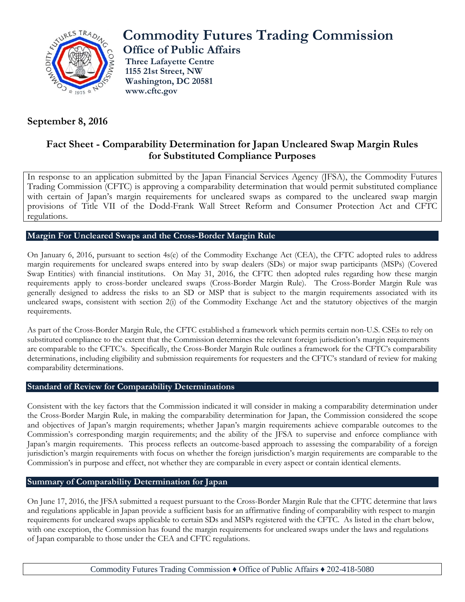

## **September 8, 2016**

# **Commodity Futures Trading Commission**

**Office of Public Affairs**

**Three Lafayette Centre 1155 21st Street, NW Washington, DC 20581 www.cftc.gov**

### **Fact Sheet - Comparability Determination for Japan Uncleared Swap Margin Rules for Substituted Compliance Purposes**

In response to an application submitted by the Japan Financial Services Agency (JFSA), the Commodity Futures Trading Commission (CFTC) is approving a comparability determination that would permit substituted compliance with certain of Japan's margin requirements for uncleared swaps as compared to the uncleared swap margin provisions of Title VII of the Dodd-Frank Wall Street Reform and Consumer Protection Act and CFTC regulations.

#### **Margin For Uncleared Swaps and the Cross-Border Margin Rule**

On January 6, 2016, pursuant to section 4s(e) of the Commodity Exchange Act (CEA), the CFTC adopted rules to address margin requirements for uncleared swaps entered into by swap dealers (SDs) or major swap participants (MSPs) (Covered Swap Entities) with financial institutions. On May 31, 2016, the CFTC then adopted rules regarding how these margin requirements apply to cross-border uncleared swaps (Cross-Border Margin Rule). The Cross-Border Margin Rule was generally designed to address the risks to an SD or MSP that is subject to the margin requirements associated with its uncleared swaps, consistent with section 2(i) of the Commodity Exchange Act and the statutory objectives of the margin requirements.

As part of the Cross-Border Margin Rule, the CFTC established a framework which permits certain non-U.S. CSEs to rely on substituted compliance to the extent that the Commission determines the relevant foreign jurisdiction's margin requirements are comparable to the CFTC's. Specifically, the Cross-Border Margin Rule outlines a framework for the CFTC's comparability determinations, including eligibility and submission requirements for requesters and the CFTC's standard of review for making comparability determinations.

#### **Standard of Review for Comparability Determinations**

Consistent with the key factors that the Commission indicated it will consider in making a comparability determination under the Cross-Border Margin Rule, in making the comparability determination for Japan, the Commission considered the scope and objectives of Japan's margin requirements; whether Japan's margin requirements achieve comparable outcomes to the Commission's corresponding margin requirements; and the ability of the JFSA to supervise and enforce compliance with Japan's margin requirements. This process reflects an outcome-based approach to assessing the comparability of a foreign jurisdiction's margin requirements with focus on whether the foreign jurisdiction's margin requirements are comparable to the Commission's in purpose and effect, not whether they are comparable in every aspect or contain identical elements.

#### **Summary of Comparability Determination for Japan**

On June 17, 2016, the JFSA submitted a request pursuant to the Cross-Border Margin Rule that the CFTC determine that laws and regulations applicable in Japan provide a sufficient basis for an affirmative finding of comparability with respect to margin requirements for uncleared swaps applicable to certain SDs and MSPs registered with the CFTC. As listed in the chart below, with one exception, the Commission has found the margin requirements for uncleared swaps under the laws and regulations of Japan comparable to those under the CEA and CFTC regulations.